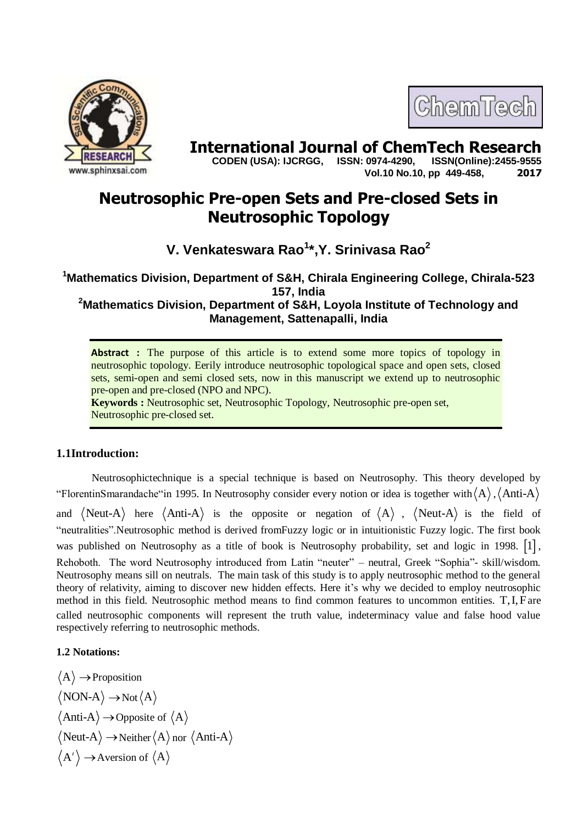

# **International Journal of ChemTech Research CODEN (USA): IJCRGG. ISSN: 0974-4290. ISSN(Online):2455-9555**

 **CODEN (USA): IJCRGG, ISSN: 0974-4290, Vol.10 No.10, pp 449-458, 2017**

ChemTech

# **Neutrosophic Pre-open Sets and Pre-closed Sets in Neutrosophic Topology**

**V. Venkateswara Rao<sup>1</sup> \*,Y. Srinivasa Rao<sup>2</sup>**

**<sup>1</sup>Mathematics Division, Department of S&H, Chirala Engineering College, Chirala-523 157, India <sup>2</sup>Mathematics Division, Department of S&H, Loyola Institute of Technology and** 

**Management, Sattenapalli, India**

Abstract : The purpose of this article is to extend some more topics of topology in neutrosophic topology. Eerily introduce neutrosophic topological space and open sets, closed sets, semi-open and semi closed sets, now in this manuscript we extend up to neutrosophic pre-open and pre-closed (NPO and NPC).

**Keywords :** Neutrosophic set, Neutrosophic Topology, Neutrosophic pre-open set, Neutrosophic pre-closed set.

# **1.1Introduction:**

Neutrosophictechnique is a special technique is based on Neutrosophy. This theory developed by "FlorentinSmarandache" in 1995. In Neutrosophy consider every notion or idea is together with  $\langle A \rangle$ ,  $\langle$  Anti-A and  $\langle$ Neut-A $\rangle$  here  $\langle$ Anti-A $\rangle$  is the opposite or negation of  $\langle$ A $\rangle$ ,  $\langle$ Neut-A $\rangle$  is the field of "neutralities".Neutrosophic method is derived fromFuzzy logic or in intuitionistic Fuzzy logic. The first book was published on Neutrosophy as a title of book is Neutrosophy probability, set and logic in 1998.  $\lceil 1 \rceil$ , Rehoboth. The word Neutrosophy introduced from Latin "neuter" – neutral, Greek "Sophia"- skill/wisdom. Neutrosophy means sill on neutrals. The main task of this study is to apply neutrosophic method to the general theory of relativity, aiming to discover new hidden effects. Here it's why we decided to employ neutrosophic method in this field. Neutrosophic method means to find common features to uncommon entities. T, I, F are called neutrosophic components will represent the truth value, indeterminacy value and false hood value respectively referring to neutrosophic methods.

# **1.2 Notations:**

$$
\langle A \rangle \rightarrow \text{Proposition}
$$
  

$$
\langle NON-A \rangle \rightarrow \text{Not} \langle A \rangle
$$
  

$$
\langle \text{Anti-A} \rangle \rightarrow \text{Opposite of } \langle A \rangle
$$
  

$$
\langle \text{Neut-A} \rangle \rightarrow \text{Neither} \langle A \rangle \text{ nor } \langle \text{Anti-A} \rangle
$$
  

$$
\langle A' \rangle \rightarrow \text{Aversion of } \langle A \rangle
$$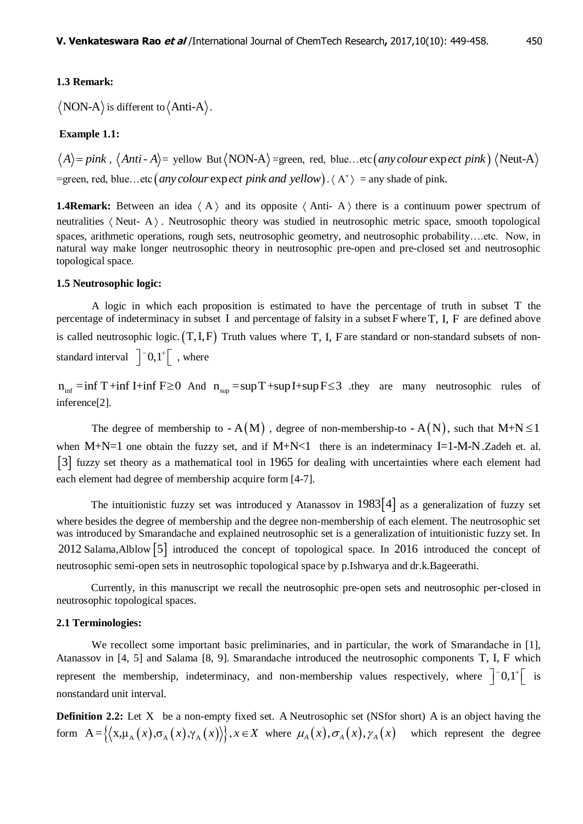#### **1.3 Remark:**

NON-A) is different to  $\langle$  Anti-A $\rangle$ .

#### **Example 1.1:**

 $A\rangle = pink$ ,  $\langle Anti - A \rangle =$  yellow But $\langle NON-A \rangle =$ green, red, blue...etc $(any colour$  exp *ect pink*)  $\langle Neut-A \rangle$  $\langle A \rangle$  = pink,  $\langle$  Anti-A $\rangle$  = yellow But $\langle$ NON-A $\rangle$  = green, red, blue...etc $\langle$  *any colour* exp<br>= green, red, blue...etc $\langle$  *any colour expect pink and yellow* $\rangle$ . $\langle A' \rangle$  = any shade of pink.

**1.4Remark:** Between an idea  $\langle A \rangle$  and its opposite  $\langle Anti-A \rangle$  there is a continuum power spectrum of neutralities  $\langle$  Neut- A $\rangle$ . Neutrosophic theory was studied in neutrosophic metric space, smooth topological spaces, arithmetic operations, rough sets, neutrosophic geometry, and neutrosophic probability….etc. Now, in natural way make longer neutrosophic theory in neutrosophic pre-open and pre-closed set and neutrosophic topological space.

## **1.5 Neutrosophic logic:**

A logic in which each proposition is estimated to have the percentage of truth in subset T the percentage of indeterminacy in subset I and percentage of falsity in a subset F where T, I, F are defined above is called neutrosophic logic.  $(T, I, F)$  Truth values where T, I, F are standard or non-standard subsets of nonstandard interval  $\left[ \begin{array}{c} -0, 1 \\ \end{array} \right]$ , where

 $n_{\text{inf}} = \inf T + \inf I + \inf F \ge 0$  And  $n_{\text{sup}} = \sup T + \sup I + \sup F \le 3$  they are many neutrosophic rules of inference[2].

The degree of membership to  $-A(M)$ , degree of non-membership-to  $-A(N)$ , such that  $M+N \leq 1$ when  $M+N=1$  one obtain the fuzzy set, and if  $M+N<1$  there is an indeterminacy I=1-M-N. Zadeh et. al. 3 fuzzy set theory as a mathematical tool in 1965 for dealing with uncertainties where each element had each element had degree of membership acquire form [4-7].

The intuitionistic fuzzy set was introduced y Atanassov in  $1983[4]$  as a generalization of fuzzy set where besides the degree of membership and the degree non-membership of each element. The neutrosophic set was introduced by Smarandache and explained neutrosophic set is a generalization of intuitionistic fuzzy set. In 2012 Salama, Alblow [5] introduced the concept of topological space. In 2016 introduced the concept of neutrosophic semi-open sets in neutrosophic topological space by p.Ishwarya and dr.k.Bageerathi.

Currently, in this manuscript we recall the neutrosophic pre-open sets and neutrosophic per-closed in neutrosophic topological spaces.

#### **2.1 Terminologies:**

We recollect some important basic preliminaries, and in particular, the work of Smarandache in [1], Atanassov in [4, 5] and Salama [8, 9]. Smarandache introduced the neutrosophic components T, I, F which represent the membership, indeterminacy, and non-membership values respectively, where  $\left]$  -0,1<sup>+</sup>  $\left[$  is nonstandard unit interval.

**Definition 2.2:** Let X be a non-empty fixed set. A Neutrosophic set (NSfor short) A is an object having the **Definition 2.2:** Let X be a non-empty fixed set. A Neutrosophic set (NSfor short) A is an object having the form  $A = \{ (x, \mu_A(x), \sigma_A(x), \gamma_A(x)) \}, x \in X$  where  $\mu_A(x), \sigma_A(x), \gamma_A(x)$  which represent the degree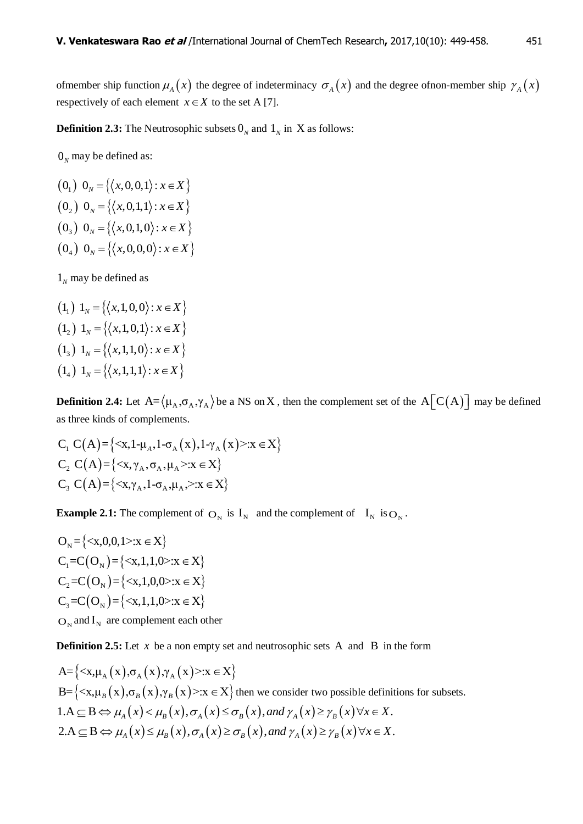of member ship function  $\mu_A(x)$  the degree of indeterminacy  $\sigma_A(x)$  and the degree of non-member ship  $\gamma_A(x)$ respectively of each element  $x \in X$  to the set A [7].

**Definition 2.3:** The Neutrosophic subsets  $0_N$  and  $1_N$  in X as follows:

 $0<sub>N</sub>$  may be defined as:

 $(0, 0, 0)$   $0_y = \{(x, 0, 0, 1) : x \in X\}$  $(0, 0, 0)$   $0_y = \{(x, 0, 1, 1) : x \in X\}$  $(0, 0)$   $0<sub>N</sub> = \{(x, 0, 1, 0) : x \in X\}$  $(0_4)$   $0_y = \{(x,0,0,0) : x \in X\}$ 

 $1<sub>N</sub>$  may be defined as

 $(1, 1)$   $1_y = \{ \langle x, 1, 0, 0 \rangle : x \in X \}$  $(1, 1)$   $1_y = \{(x,1,0,1) : x \in X\}$  $(1_2) 1_N = \{(x,1,1,0) : x \in X\}$  $(1_4) 1_N = \{(x,1,1,1) : x \in X\}$ 

**Definition 2.4:** Let  $A = \langle \mu_A, \sigma_A, \gamma_A \rangle$  be a NS on X, then the complement set of the  $A[C(A)]$  may be defined

as three kinds of complements.  
\n
$$
C_1 C(A) = \{ \langle x, 1 - \mu_A, 1 - \sigma_A(x), 1 - \gamma_A(x) \rangle : x \in X \}
$$
\n
$$
C_2 C(A) = \{ \langle x, \gamma_A, \sigma_A, \mu_A \rangle : x \in X \}
$$
\n
$$
C_3 C(A) = \{ \langle x, \gamma_A, 1 - \sigma_A, \mu_A, \rangle : x \in X \}
$$

**Example 2.1:** The complement of  $O_N$  is  $I_N$  and the complement of  $I_N$  is  $O_N$ .

 $O_{N} = \{ \langle x, 0, 0, 1 \rangle : x \in X \}$  $C_1 = C(O_N) = \{ \langle x, 1, 1, 0 \rangle : x \in X \}$  $C_2 = C(O_N) = \{ \langle x, 1, 0, 0 \rangle : x \in X \}$  $C_3 = C(O_N) = \{ \langle x, 1, 1, 0 \rangle : x \in X \}$  $\mathbf{O}_{N}$  and  $\mathbf{I}_{N}$  are complement each other

**Definition 2.5:** Let  $x$  be a non empty set and neutrosophic sets A and B in the form

 $A = \{ \langle x, \mu_A(x), \sigma_A(x), \gamma_A(x) \rangle : x \in X \}$  $A = \{ \langle x, \mu_A (x), \sigma_A (x), \gamma_A (x) \rangle : x \in X \}$ <br>B=  $\{ \langle x, \mu_B (x), \sigma_B (x), \gamma_B (x) \rangle : x \in X \}$  then we consider two possible definitions for subsets.  $A = \{ \langle x, \mu_A(x), \sigma_A(x), \gamma_A(x) \rangle : x \in X \}$ <br>  $B = \{ \langle x, \mu_B(x), \sigma_B(x), \gamma_B(x) \rangle : x \in X \}$  then we consider two possible definitions for<br>  $1.A \subseteq B \Leftrightarrow \mu_A(x) \leq \mu_B(x), \sigma_A(x) \leq \sigma_B(x),$  and  $\gamma_A(x) \geq \gamma_B(x) \forall x \in X$ .  $B = \{ \langle x, \mu_B(x), \sigma_B(x), \gamma_B(x) \rangle : x \in X \}$  then we consider two possible definitions for<br>  $1.A \subseteq B \Leftrightarrow \mu_A(x) < \mu_B(x), \sigma_A(x) \leq \sigma_B(x),$  and  $\gamma_A(x) \geq \gamma_B(x) \forall x \in X$ .<br>  $2.A \subseteq B \Leftrightarrow \mu_A(x) \leq \mu_B(x), \sigma_A(x) \geq \sigma_B(x),$  and  $\gamma_A(x) \geq \gamma_B(x) \forall x \in X$ .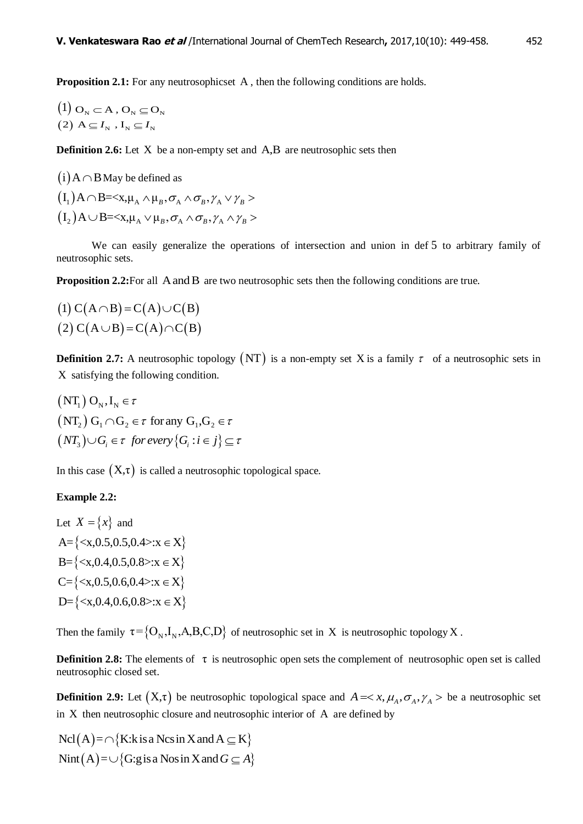Proposition 2.1: For any neutrosophicset A, then the following conditions are holds.

$$
\begin{aligned} &\left(1\right)\mathbf{O}_{\scriptscriptstyle{\mathrm{N}}}\subset\mathbf{A}\,,\mathbf{O}_{\scriptscriptstyle{\mathrm{N}}}\subseteq\mathbf{O}_{\scriptscriptstyle{\mathrm{N}}} \\ &\left(2\right)\,\mathbf{A}\subseteq I_{\scriptscriptstyle{\mathrm{N}}}\,,\mathbf{I}_{\scriptscriptstyle{\mathrm{N}}}\subseteq I_{\scriptscriptstyle{\mathrm{N}}} \end{aligned}
$$

**Definition 2.6:** Let X be a non-empty set and A,B are neutrosophic sets then

 $(i)$  A  $\cap$  B May be defined as  $(I_1)A \cap B = \langle X, \mu_A \wedge \mu_B, \sigma_A \wedge \sigma_B, \gamma_A \vee \gamma_B \rangle$  $(I_2)A \cup B =$ 

We can easily generalize the operations of intersection and union in def 5 to arbitrary family of neutrosophic sets.

Proposition 2.2: For all A and B are two neutrosophic sets then the following conditions are true.

$$
(1) C(A \cap B) = C(A) \cup C(B)
$$
  
(2) C(A \cup B) = C(A) \cap C(B)

**Definition 2.7:** A neutrosophic topology  $(NT)$  is a non-empty set X is a family  $\tau$  of a neutrosophic sets in X satisfying the following condition.

$$
(NT_1) O_N, I_N \in \tau
$$
  
\n
$$
(NT_2) G_1 \cap G_2 \in \tau \text{ for any } G_1, G_2 \in \tau
$$
  
\n
$$
(NT_3) \cup G_i \in \tau \text{ for every } \{G_i : i \in j\} \subseteq \tau
$$

In this case  $(X,\tau)$  is called a neutrosophic topological space.

# **Example 2.2:**

Let 
$$
X = \{x\}
$$
 and  
\n $A = \{ : x \in X\}$   
\n $B = \{ : x \in X\}$   
\n $C = \{ : x \in X\}$   
\n $D = \{ : x \in X\}$ 

Then the family  $\tau = \{O_N, I_N, A, B, C, D\}$  of neutrosophic set in X is neutrosophic topology X.

**Definition 2.8:** The elements of τ is neutrosophic open sets the complement of neutrosophic open set is called neutrosophic closed set.

**Definition 2.9:** Let  $(X,\tau)$  be neutrosophic topological space and  $A = \langle x, \mu_A, \sigma_A, \gamma_A \rangle$  be a neutrosophic set in X then neutrosophic closure and neutrosophic interior of A are defined by

 $Ncl(A) = \bigcap \{K: k \text{ is a } Ncs \text{ in } X \text{ and } A \subseteq K\}$ Nint  $(A) = \bigcup \{ G : g \text{ is a Nos in } X \text{ and } G \subseteq A \}$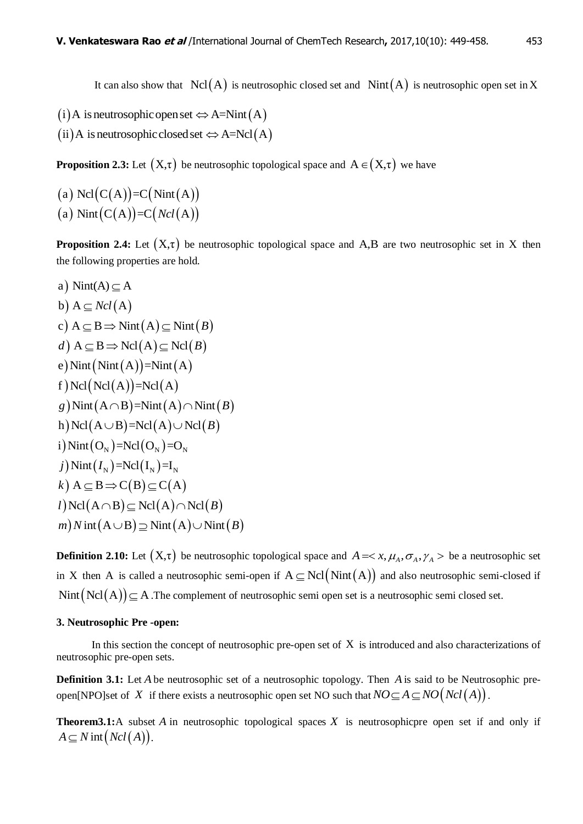It can also show that  $\text{Ncl}(A)$  is neutrosophic closed set and  $\text{Nint}(A)$  is neutrosophic open set in X

- $(i)$  A is neutrosophic open set  $\Leftrightarrow$  A=Nint  $(A)$
- (ii) A is neutrosophic closed set  $\Leftrightarrow$  A=Ncl(A)

**Proposition 2.3:** Let  $(X, \tau)$  be neutrosophic topological space and  $A \in (X, \tau)$  we have

(a)  $Ncl(C(A))=C(Nint(A))$ (a) Nint  $(C(A))=C(Ncl(A))$ 

**Proposition 2.4:** Let  $(X, \tau)$  be neutrosophic topological space and A,B are two neutrosophic set in X then the following properties are hold.

a) 
$$
\text{Nint}(A) \subseteq A
$$
  
\nb)  $A \subseteq Ncl(A)$   
\nc)  $A \subseteq B \Rightarrow \text{Nint}(A) \subseteq \text{Nint}(B)$   
\nd)  $A \subseteq B \Rightarrow \text{Ncl}(A) \subseteq \text{Ncl}(B)$   
\ne)  $\text{Nint}(\text{Nint}(A)) = \text{Nint}(A)$   
\nf)  $\text{Ncl}(\text{Ncl}(A)) = \text{Ncl}(A)$   
\ng)  $\text{Nint}(A \cap B) = \text{Nint}(A) \cap \text{Nint}(B)$   
\nh)  $\text{Ncl}(A \cup B) = \text{Ncl}(A) \cup \text{Ncl}(B)$   
\ni)  $\text{Nint}(O_N) = \text{Ncl}(O_N) = O_N$   
\nj)  $\text{Nint}(I_N) = \text{Ncl}(I_N) = I_N$   
\nk)  $A \subseteq B \Rightarrow C(B) \subseteq C(A)$   
\nl)  $\text{Ncl}(A \cap B) \subseteq \text{Ncl}(A) \cap \text{Ncl}(B)$   
\nm)  $\text{N int}(A \cup B) \supseteq \text{Nint}(A) \cup \text{Nint}(B)$ 

**Definition 2.10:** Let  $(X,\tau)$  be neutrosophic topological space and  $A = \langle x, \mu_A, \sigma_A, \gamma_A \rangle$  be a neutrosophic set in X then A is called a neutrosophic semi-open if  $A \subseteq Ncl(Nint(A))$  and also neutrosophic semi-closed if Nint  $(Ncl(A)) \subseteq A$ . The complement of neutrosophic semi open set is a neutrosophic semi closed set.

#### **3. Neutrosophic Pre -open:**

In this section the concept of neutrosophic pre-open set of  $X$  is introduced and also characterizations of neutrosophic pre-open sets.

**Definition 3.1:** Let *A* be neutrosophic set of a neutrosophic topology. Then *A* is said to be Neutrosophic pre-**Definition 1.1.** Let  $H$  be neutrosophic set of a neutrosophic topology. Then  $H$  is said to be recall to open[NPO]set of  $X$  if there exists a neutrosophic open set NO such that  $NO \subseteq A \subseteq NO(Ncl(A))$ .

**Theorem3.1:**A subset A in neutrosophic topological spaces  $X$  is neutrosophicpre open set if and only if  $A \subseteq N$  int  $(Ncl(A)).$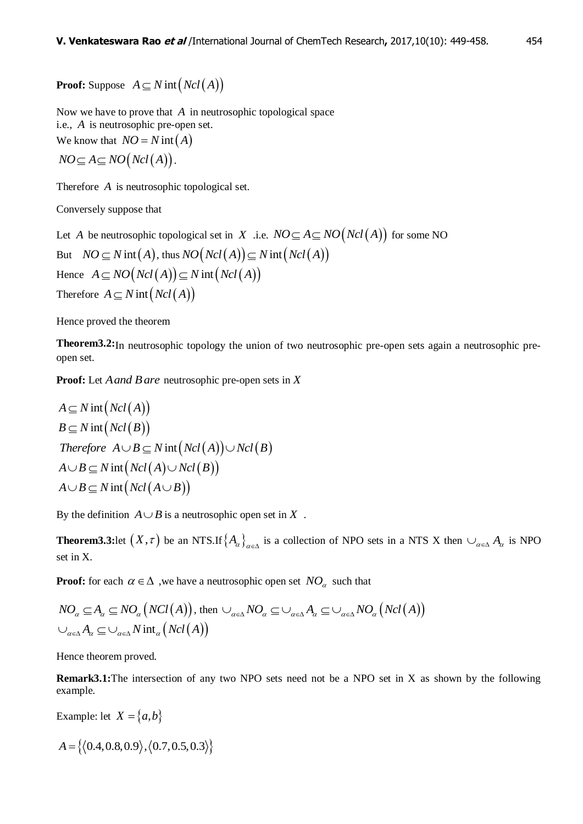**Proof:** Suppose  $A \subseteq N$  int  $(Ncl(A))$ 

Now we have to prove that *A* in neutrosophic topological space i.e., *A* is neutrosophic pre-open set. We know that  $NO = N \text{ int}(A)$ 

$$
NO \subseteq A \subseteq NO(Ncl(A)).
$$

Therefore *A* is neutrosophic topological set.

Conversely suppose that

Let *A* be neutrosophic topological set in *X* .i.e.  $NO \subseteq A \subseteq NO(Ncl(A))$  for some NO But  $NO \subseteq N$  int  $(A)$ , thus  $NO(Ncl(A)) \subseteq N$  int  $(Ncl(A))$ But  $NO \subseteq N$  int(A), thus  $NO(Ncl(A)) \subseteq N$ <br>Hence  $A \subseteq NO(Ncl(A)) \subseteq N$  int( $Ncl(A)$ ) Therefore  $A \subseteq N$  int  $(Ncl(A))$ 

Hence proved the theorem

**Theorem3.2:**In neutrosophic topology the union of two neutrosophic pre-open sets again a neutrosophic preopen set.

**Proof:** Let *Aand Bare* neutrosophic pre-open sets in *X*

$$
A \subseteq N \text{ int } (Ncl(A))
$$
  
\n
$$
B \subseteq N \text{ int } (Ncl(B))
$$
  
\nTherefore  $A \cup B \subseteq N \text{ int } (Ncl(A)) \cup Ncl(B)$   
\n
$$
A \cup B \subseteq N \text{ int } (Ncl(A) \cup Ncl(B))
$$
  
\n
$$
A \cup B \subseteq N \text{ int } (Ncl(A \cup B))
$$

By the definition  $A \cup B$  is a neutrosophic open set in X.

**Theorem3.3:** let  $(X, \tau)$  be an NTS. If  $\{A_{\alpha}\}_{{\alpha}\in{\Delta}}$  is a collection of NPO sets in a NTS X then  $\cup_{{\alpha}\in{\Delta}} A_{\alpha}$  is NPO set in X.

**Proof:** for each  $\alpha \in \Delta$ , we have a neutrosophic open set  $NO_{\alpha}$  such that

From for each 
$$
\alpha \in \Delta
$$
, we have a homogeneous open set  $\log_{\alpha}$  such that

\n
$$
NO_{\alpha} \subseteq A_{\alpha} \subseteq NO_{\alpha} \big( NCl(A) \big), \text{ then } \bigcup_{\alpha \in \Delta} NO_{\alpha} \subseteq \bigcup_{\alpha \in \Delta} A_{\alpha} \subseteq \bigcup_{\alpha \in \Delta} NO_{\alpha} \big( Ncl(A) \big)
$$
\n
$$
\bigcup_{\alpha \in \Delta} A_{\alpha} \subseteq \bigcup_{\alpha \in \Delta} N \text{ int}_{\alpha} \big( Ncl(A) \big)
$$

Hence theorem proved.

**Remark3.1:**The intersection of any two NPO sets need not be a NPO set in X as shown by the following example.

Example: let  $X = \{a, b\}$ 

$$
A = \{ \langle 0.4, 0.8, 0.9 \rangle, \langle 0.7, 0.5, 0.3 \rangle \}
$$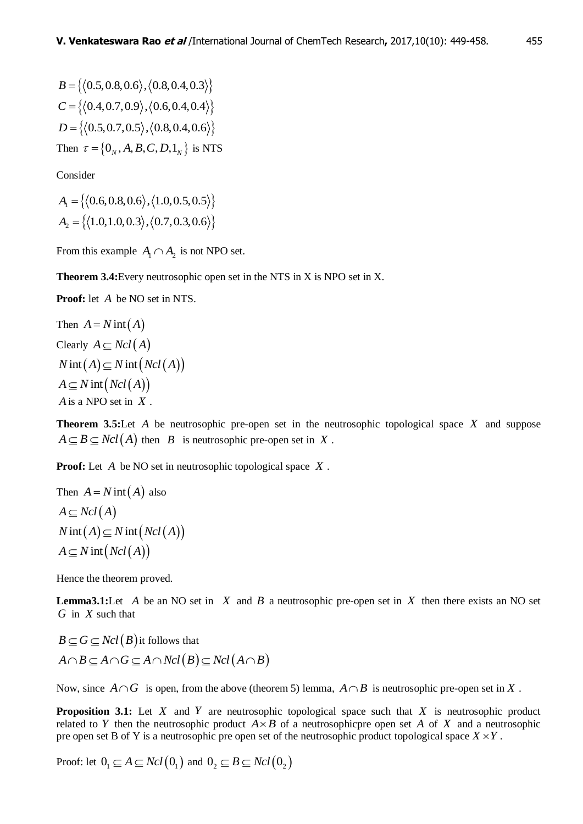$B = \{ (0.5, 0.8, 0.6), (0.8, 0.4, 0.3) \}$  $C = \{ (0.4, 0.7, 0.9), (0.6, 0.4, 0.4) \}$  $D = \{ (0.5, 0.7, 0.5), (0.8, 0.4, 0.6) \}$ Then  $\tau = \left\{0_N, A, B, C, D, 1_N\right\}$  is NTS

Consider

 $A_1 = \{(0.6, 0.8, 0.6), (1.0, 0.5, 0.5)\}$  $A_2 = \{(1.0, 1.0, 0.3), (0.7, 0.3, 0.6)\}$ 

From this example  $A_1 \cap A_2$  is not NPO set.

**Theorem 3.4:**Every neutrosophic open set in the NTS in X is NPO set in X.

**Proof:** let *A* be NO set in NTS.

Then 
$$
A = N \text{ int}(A)
$$
  
\nClearly  $A \subseteq Ncl(A)$   
\n $N \text{ int}(A) \subseteq N \text{ int}(Ncl(A))$   
\n $A \subseteq N \text{ int}(Ncl(A))$   
\n $A \text{ is a NPO set in } X$ .

**Theorem 3.5:**Let *A* be neutrosophic pre-open set in the neutrosophic topological space *X* and suppose  $A \subseteq B \subseteq Ncl(A)$  then *B* is neutrosophic pre-open set in X.

**Proof:** Let *A* be NO set in neutrosophic topological space *X* .

Then 
$$
A = N \text{ int}(A)
$$
 also  
\n $A \subseteq Ncl(A)$   
\n $N \text{ int}(A) \subseteq N \text{ int}(Ncl(A))$   
\n $A \subseteq N \text{ int}(Ncl(A))$ 

Hence the theorem proved.

**Lemma3.1:** Let  $A$  be an NO set in  $X$  and  $B$  a neutrosophic pre-open set in  $X$  then there exists an NO set *G* in *X* such that

 $B \subseteq G \subseteq Ncl(B)$  it follows that  $A \cap B \subseteq A \cap G \subseteq A \cap Ncl(B) \subseteq Ncl(A \cap B)$ 

Now, since  $A \cap G$  is open, from the above (theorem 5) lemma,  $A \cap B$  is neutrosophic pre-open set in X.

**Proposition 3.1:** Let  $X$  and  $Y$  are neutrosophic topological space such that  $X$  is neutrosophic product related to Y then the neutrosophic product  $A \times B$  of a neutrosophicpre open set A of X and a neutrosophic pre open set B of Y is a neutrosophic pre open set of the neutrosophic product topological space  $X \times Y$ .

Proof: let  $0_1 \subseteq A \subseteq Ncl(0_1)$  and  $0_2 \subseteq B \subseteq Ncl(0_2)$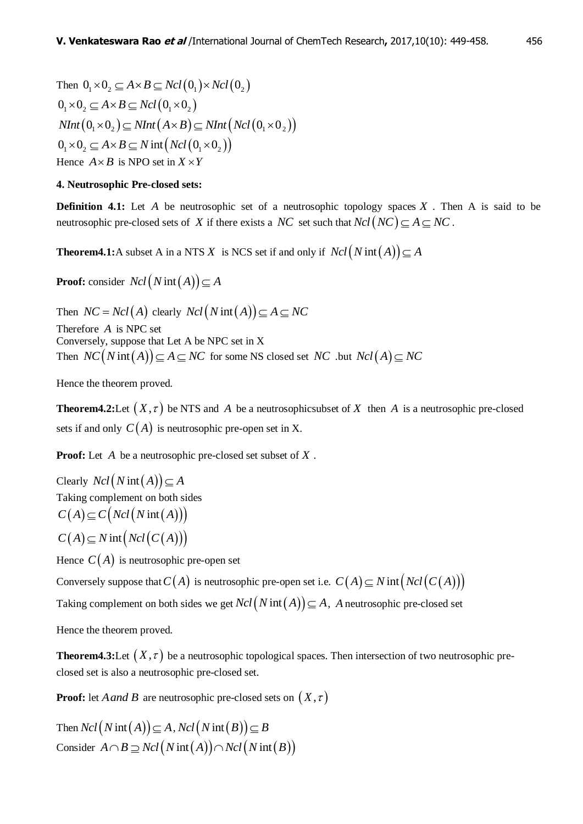Then  $0_1 \times 0_2 \subseteq A \times B \subseteq Ncl(0_1) \times Ncl(0_2)$  $0 \times 0 \times A \times B \subset Ncl(0 \times 0 \times$  $NInt(0_1 \times 0_2) \subseteq NInt(A \times B) \subseteq NInt(Ncl(0_1 \times 0_2))$  $0_1 \times 0_2 \subseteq A \times B \subseteq N$  int  $(Ncl(0_1 \times 0_2))$ Hence  $A \times B$  is NPO set in  $X \times Y$ 

#### **4. Neutrosophic Pre-closed sets:**

**Definition 4.1:** Let  $A$  be neutrosophic set of a neutrosophic topology spaces  $X$ . Then  $A$  is said to be neutrosophic pre-closed sets of X if there exists a NC set such that  $Ncl(NC) \subseteq A \subseteq NC$ .

**Theorem4.1:**A subset A in a NTS X is NCS set if and only if  $Ncl(Nint(A)) \subseteq A$ 

**Proof:** consider  $Ncl(Nint(A)) \subseteq A$ 

Then  $NC = Ncl(A)$  clearly  $Ncl(Nint(A)) \subseteq A \subseteq NC$ Therefore *A* is NPC set Conversely, suppose that Let A be NPC set in X Then  $NC(Nint(A)) \subseteq A \subseteq NC$  for some NS closed set  $NC$  .but  $Ncl(A) \subseteq NC$ 

Hence the theorem proved.

**Theorem4.2:** Let  $(X, \tau)$  be NTS and A be a neutrosophicsubset of X then A is a neutrosophic pre-closed sets if and only  $C(A)$  is neutrosophic pre-open set in X.

**Proof:** Let *A* be a neutrosophic pre-closed set subset of *X* .

Clearly  $Ncl(Nint(A)) \subseteq A$ Taking complement on both sides  $C(A) \subseteq C($  *Ncl* (*N* int (*A*)))  $C(A) \subseteq N$  int  $(Ncl(C(A)))$ 

Hence  $C(A)$  is neutrosophic pre-open set

Conversely suppose that  $C(A)$  is neutrosophic pre-open set i.e.  $C(A) \subseteq N$  int  $(Ncl(C(A)))$ 

Taking complement on both sides we get  $Ncl(Nint(A)) \subseteq A$ , *A* neutrosophic pre-closed set

Hence the theorem proved.

**Theorem4.3:**Let  $(X, \tau)$  be a neutrosophic topological spaces. Then intersection of two neutrosophic preclosed set is also a neutrosophic pre-closed set.

**Proof:** let *A and B* are neutrosophic pre-closed sets on  $(X, \tau)$ 

Then  $Ncl(Nint(A)) \subseteq A$ ,  $Ncl(Nint(B)) \subseteq B$ Then  $Ncl(N\operatorname{int}(A)) \subseteq A$ ,  $Ncl(N\operatorname{int}(B)) \subseteq B$ <br>Consider  $A \cap B \supseteq Ncl(N\operatorname{int}(A)) \cap Ncl(N\operatorname{int}(B))$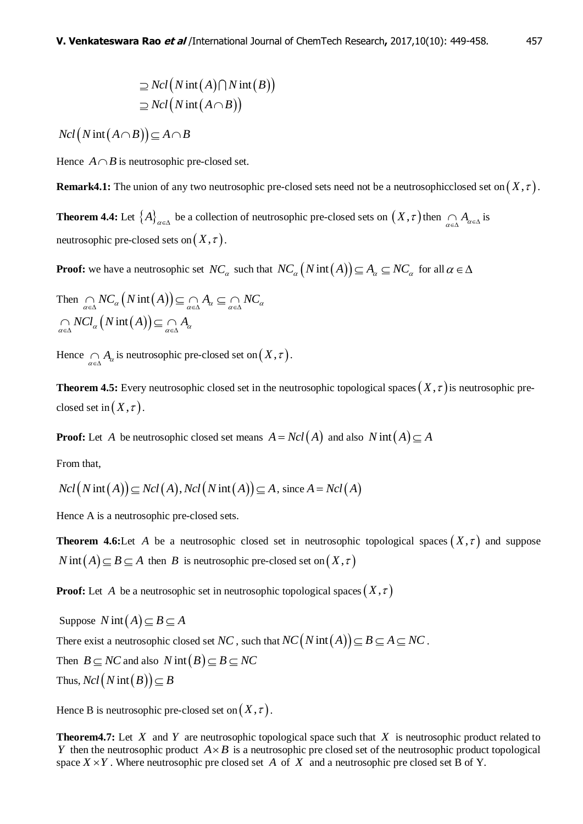$$
\supseteq Ncl(N\operatorname{int}(A)\bigcap N\operatorname{int}(B)\big) \supseteq Ncl(N\operatorname{int}(A\cap B))
$$

 $Ncl(Nint(A \cap B)) \subseteq A \cap B$ 

Hence  $A \cap B$  is neutrosophic pre-closed set.

**Remark4.1:** The union of any two neutrosophic pre-closed sets need not be a neutrosophicclosed set on  $(X, \tau)$ .

**Theorem 4.4:** Let  $\{A\}_{\alpha \in \Delta}$  be a collection of neutrosophic pre-closed sets on  $(X, \tau)$  then  $\bigcap_{\alpha \in \Delta} A_{\alpha \in \Delta}$  is neutrosophic pre-closed sets on  $(X, \tau)$ .

**Proof:** we have a neutrosophic set  $NC_a$  such that  $NC_a(N\text{int}(A)) \subseteq A_a \subseteq NC_a$  for all  $\alpha \in \Delta$ 

Then 
$$
\underset{\alpha \in \Delta}{\cap} NC_{\alpha}(N \operatorname{int}(A)) \subseteq \underset{\alpha \in \Delta}{\cap} A_{\alpha} \subseteq \underset{\alpha \in \Delta}{\cap} NC_{\alpha}
$$
  
 $\underset{\alpha \in \Delta}{\cap} NC_{\alpha}(N \operatorname{int}(A)) \subseteq \underset{\alpha \in \Delta}{\cap} A_{\alpha}$ 

Hence  $\bigcap_{\alpha \in \Delta} A_{\alpha}$  is neutrosophic pre-closed set on  $(X, \tau)$ .

**Theorem 4.5:** Every neutrosophic closed set in the neutrosophic topological spaces  $(X, \tau)$  is neutrosophic preclosed set in  $(X, \tau)$ .

**Proof:** Let A be neutrosophic closed set means  $A = Ncl(A)$  and also  $N \text{ int}(A) \subseteq A$ 

From that,

From that,  
\n
$$
Ncl(Nint(A)) \subseteq Ncl(A), Ncl(Nint(A)) \subseteq A, \text{ since } A = Ncl(A)
$$

Hence A is a neutrosophic pre-closed sets.

**Theorem 4.6:**Let A be a neutrosophic closed set in neutrosophic topological spaces  $(X, \tau)$  and suppose  $N$  int  $(A) \subseteq B \subseteq A$  then *B* is neutrosophic pre-closed set on  $(X, \tau)$ 

**Proof:** Let A be a neutrosophic set in neutrosophic topological spaces  $(X, \tau)$ 

Suppose  $N \text{ int}(A) \subseteq B \subseteq A$ There exist a neutrosophic closed set *NC*, such that  $NC(N \text{ int} (A)) \subseteq B \subseteq A \subseteq NC$ . Then  $B \subseteq NC$  and also  $N \text{ int}(B) \subseteq B \subseteq NC$ Thus,  $Ncl(Nint(B)) \subseteq B$ 

Hence B is neutrosophic pre-closed set on  $(X, \tau)$ .

**Theorem4.7:** Let  $X$  and  $Y$  are neutrosophic topological space such that  $X$  is neutrosophic product related to *Y* then the neutrosophic product  $A \times B$  is a neutrosophic pre closed set of the neutrosophic product topological space  $X \times Y$ . Where neutrosophic pre closed set A of X and a neutrosophic pre closed set B of Y.